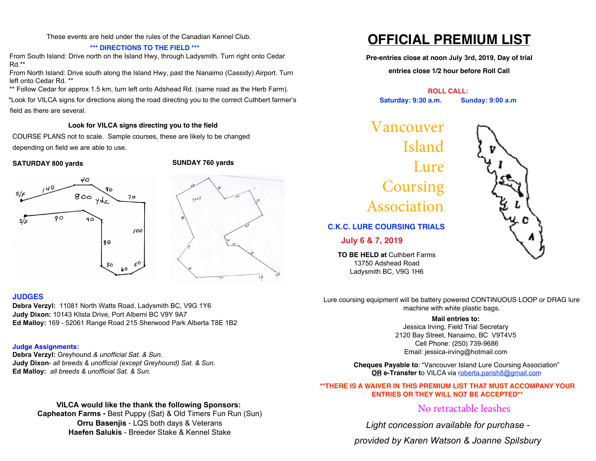These events are held under the rules of the Canadian Kennel Club.

### **\*\*\* DIRECTIONS TO THE FIELD \*\*\***

From South Island: Drive north on the Island Hwy, through Ladysmith. Turn right onto Cedar Rd.\*\*

From North Island: Drive south along the Island Hwy, past the Nanaimo (Cassidy) Airport. Turn left onto Cedar Rd. \*\*

\*\* Follow Cedar for approx 1.5 km, turn left onto Adshead Rd. (same road as the Herb Farm).

\*Look for VILCA signs for directions along the road directing you to the correct Cuthbert farmer's field as there are several.

### **Look for VILCA signs directing you to the field**

COURSE PLANS not to scale. Sample courses, these are likely to be changed depending on field we are able to use.

### **SATURDAY 800 yards SUNDAY 760 yards**





### **JUDGES**

**Debra Verzyl:** 11081 North Watts Road, Ladysmith BC, V9G 1Y6 **Judy Dixon:** 10143 Klista Drive, Port Alberni BC V9Y 9A7 **Ed Malloy:** 169 - 52061 Range Road 215 Sherwood Park Alberta T8E 1B2

### **Judge Assignments:**

**Debra Verzyl:** Greyhound *& unofficial Sat. & Sun.* **Judy Dixon**- *all breeds & unofficial (except Greyhound) Sat. & Sun.* **Ed Malloy:** *all breeds & unofficial Sat. & Sun.* 

## **VILCA would like the thank the following Sponsors:**

**Capheaton Farms -** Best Puppy (Sat) & Old Timers Fun Run (Sun) **Orru Basenjis** - LQS both days & Veterans **Haefen Salukis** - Breeder Stake & Kennel Stake

# **OFFICIAL PREMIUM LIST**

**Pre-entries close at noon July 3rd, 2019, Day of trial**

**entries close 1/2 hour before Roll Call**

**ROLL CALL: Saturday: 9:30 a.m. Sunday: 9:00 a.m**

Vancouver Island Lure **Coursing** Association

**C.K.C. LURE COURSING TRIALS**

**July 6 & 7, 2019**

**TO BE HELD at** Cuthbert Farms 13750 Adshead Road Ladysmith BC, V9G 1H6



Lure coursing equipment will be battery powered CONTINUOUS LOOP or DRAG lure machine with white plastic bags.

### **Mail entries to:**

Jessica Irving, Field Trial Secretary 2120 Bay Street, Nanaimo, BC V9T4V5 Cell Phone: (250) 7[39-9686](mailto:akshepherd@shaw.ca)  Email: jessica-irving@hotmail.com

**Cheques Payable to**: "Vancouver Is[land Lure Coursin](mailto:blair60@shaw.ca)g Association" **OR e-Transfer t**o VILCA via roberta.parish8@gmail.com

### **\*\*THERE IS A WAIVER IN THIS PREMIUM LIST THAT MUST ACCOMPANY YOUR ENTRIES OR THEY WILL NOT BE ACCEPTED\*\***

# No retractable leashes

*Light concession available for purchase -* 

*provided by Karen Watson & Joanne Spilsbury*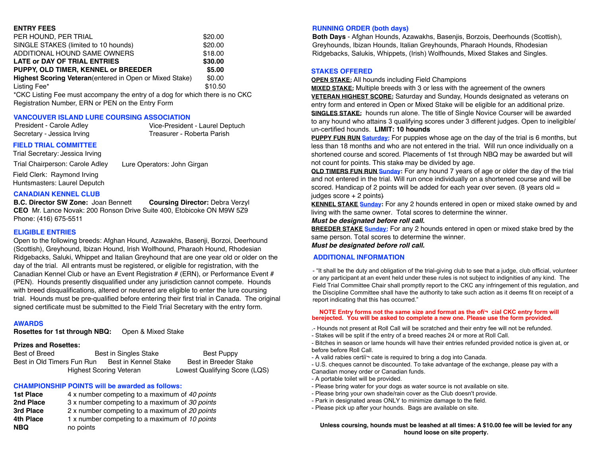#### **ENTRY FEES**

| PER HOUND, PER TRIAL                                            | \$20.00 |
|-----------------------------------------------------------------|---------|
| SINGLE STAKES (limited to 10 hounds)                            | \$20.00 |
| ADDITIONAL HOUND SAME OWNERS                                    | \$18.00 |
| <b>LATE or DAY OF TRIAL ENTRIES</b>                             | \$30.00 |
| PUPPY, OLD TIMER, KENNEL or BREEDER                             | \$5.00  |
| <b>Highest Scoring Veteran</b> (entered in Open or Mixed Stake) | \$0.00  |
| Listing Fee*                                                    | \$10.50 |
| $*C$ $\sim$ 1 to the E <sub>2</sub>                             |         |

'CKC Listing Fee must accompany the entry of a dog for which there is no CKC Registration Number, ERN or PEN on the Entry Form

#### **VANCOUVER ISLAND LURE COURSING ASSOCIATION**

President - Carole Adley Secretary - Jessica Irving Vice-President - Laurel Deptuch Treasurer - Roberta Parish

#### **FIELD TRIAL COMMITTEE**

Trial Secretary: Jessica Irving

Trial Chairperson: Carole Adley Lure Operators: John Girgan

Field Clerk: Raymond Irving Huntsmasters: Laurel Deputch

#### **CANADIAN KENNEL CLUB**

**B.C. Director SW Zone:** Joan Bennett **Coursing Director:** Debra Verzyl **CEO** Mr. Lance Novak: 200 Ronson Drive Suite 400, Etobicoke ON M9W 5Z9 Phone: (416) 675-5511

#### **ELIGIBLE ENTRIES**

Open to the following breeds: Afghan Hound, Azawakhs, Basenji, Borzoi, Deerhound (Scottish), Greyhound, Ibizan Hound, Irish Wolfhound, Pharaoh Hound, Rhodesian Ridgebacks, Saluki, Whippet and Italian Greyhound that are one year old or older on the day of the trial. All entrants must be registered, or eligible for registration, with the Canadian Kennel Club or have an Event Registration # (ERN), or Performance Event # (PEN). Hounds presently disqualified under any jurisdiction cannot compete. Hounds with breed disqualifications, altered or neutered are eligible to enter the lure coursing trial. Hounds must be pre-qualified before entering their first trial in Canada. The original signed certificate must be submitted to the Field Trial Secretary with the entry form.

#### **AWARDS**

**Rosettes for 1st through NBQ:** Open & Mixed Stake

### **Prizes and Rosettes:**

Best of Breed Best in Singles Stake Best Puppy Best in Old Timers Fun Run Best in Kennel Stake Best in Breeder Stake Highest Scoring Veteran Lowest Qualifying Score (LQS)

### **CHAMPIONSHIP POINTS will be awarded as follows:**

| 1st Place  | 4 x number competing to a maximum of 40 points |
|------------|------------------------------------------------|
| 2nd Place  | 3 x number competing to a maximum of 30 points |
| 3rd Place  | 2 x number competing to a maximum of 20 points |
| 4th Place  | 1 x number competing to a maximum of 10 points |
| <b>NBQ</b> | no points                                      |

#### **RUNNING ORDER (both days)**

**Both Days** - Afghan Hounds, Azawakhs, Basenjis, Borzois, Deerhounds (Scottish), Greyhounds, Ibizan Hounds, Italian Greyhounds, Pharaoh Hounds, Rhodesian Ridgebacks, Salukis, Whippets, (Irish) Wolfhounds, Mixed Stakes and Singles.

### **STAKES OFFERED**

**OPEN STAKE:** All hounds including Field Champions

**MIXED STAKE:** Multiple breeds with 3 or less with the agreement of the owners **VETERAN HIGHEST SCORE:** Saturday and Sunday, Hounds designated as veterans on entry form and entered in Open or Mixed Stake will be eligible for an additional prize. **SINGLES STAKE:** hounds run alone. The title of Single Novice Courser will be awarded to any hound who attains 3 qualifying scores under 3 different judges. Open to ineligible/ un-certified hounds. **LIMIT: 10 hounds**

**PUPPY FUN RUN Saturday:** For puppies whose age on the day of the trial is 6 months, but less than 18 months and who are not entered in the trial. Will run once individually on a shortened course and scored. Placements of 1st through NBQ may be awarded but will not count for points. This stake may be divided by age.

**OLD TIMERS FUN RUN Sunday:** For any hound 7 years of age or older the day of the trial and not entered in the trial. Will run once individually on a shortened course and will be scored. Handicap of 2 points will be added for each year over seven. (8 years old  $=$ judges score + 2 points)

**KENNEL STAKE Sunday:** For any 2 hounds entered in open or mixed stake owned by and living with the same owner. Total scores to determine the winner.

#### *Must be designated before roll call.*

**BREEDER STAKE Sunday:** For any 2 hounds entered in open or mixed stake bred by the same person. Total scores to determine the winner.

*Must be designated before roll call.*

#### **ADDITIONAL INFORMATION**

- "It shall be the duty and obligation of the trial-giving club to see that a judge, club official, volunteer or any participant at an event held under these rules is not subject to indignities of any kind. The Field Trial Committee Chair shall promptly report to the CKC any infringement of this regulation, and the Discipline Committee shall have the authority to take such action as it deems fit on receipt of a report indicating that this has occurred."

#### **NOTE Entry forms not the same size and format as the ofï¬ cial CKC entry form will berejected. You will be asked to complete a new one. Please use the form provided.**

- .- Hounds not present at Roll Call will be scratched and their entry fee will not be refunded.
- Stakes will be split if the entry of a breed reaches 24 or more at Roll Call.
- Bitches in season or lame hounds will have their entries refunded provided notice is given at, or before before Roll Call.
- A valid rabies certiï¬ cate is required to bring a dog into Canada.
- U.S. cheques cannot be discounted. To take advantage of the exchange, please pay with a Canadian money order or Canadian funds.
- A portable toilet will be provided.
- Please bring water for your dogs as water source is not available on site.
- Please bring your own shade/rain cover as the Club doesn't provide.
- Park in designated areas ONLY to minimize damage to the field.
- Please pick up after your hounds. Bags are available on site.

**Unless coursing, hounds must be leashed at all times: A \$10.00 fee will be levied for any hound loose on site property.**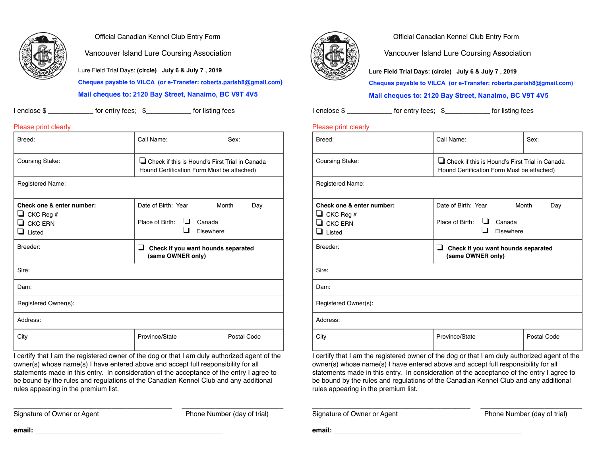

### Official Canadian Kennel Club Entry Form

Vancouver Island Lure Coursing Association

Lure Field Trial Days: **(circle) July 6 & July 7 , 2019** 

**Cheques payable to VILCA (or e-Transfer: robert[a.parish8@gmail.co](mailto:blair60@shaw.ca)m)** 

#### **Mail cheques to: 2120 Bay Street, Nanaimo, BC V9T 4V5**

| l enclose \$ | for entry fees: \$ | for listing fees |
|--------------|--------------------|------------------|
|              |                    |                  |

### Please print clearly

| Breed:                                                                                   | Call Name:                                                                                          | Sex: |  |
|------------------------------------------------------------------------------------------|-----------------------------------------------------------------------------------------------------|------|--|
| Coursing Stake:                                                                          | $\Box$ Check if this is Hound's First Trial in Canada<br>Hound Certification Form Must be attached) |      |  |
| Registered Name:                                                                         |                                                                                                     |      |  |
| Check one & enter number:<br>$\Box$ CKC Reg #<br>$\Box$ CKC ERN<br>$\blacksquare$ Listed | Date of Birth: Year________ Month_____ Day_<br>$\Box$ Canada<br>Place of Birth:<br>Elsewhere        |      |  |
| Breeder:                                                                                 | u<br>Check if you want hounds separated<br>(same OWNER only)                                        |      |  |
|                                                                                          |                                                                                                     |      |  |
| Sire:                                                                                    |                                                                                                     |      |  |
| Dam:                                                                                     |                                                                                                     |      |  |
| Registered Owner(s):                                                                     |                                                                                                     |      |  |
| Address:                                                                                 |                                                                                                     |      |  |

I certify that I am the registered owner of the dog or that I am duly authorized agent of the owner(s) whose name(s) I have entered above and accept full responsibility for all statements made in this entry. In consideration of the acceptance of the entry I agree to be bound by the rules and regulations of the Canadian Kennel Club and any additional rules appearing in the premium list.

 $\_$  , and the set of the set of the set of the set of the set of the set of the set of the set of the set of the set of the set of the set of the set of the set of the set of the set of the set of the set of the set of th

Signature of Owner or Agent Phone Number (day of trial)



Official Canadian Kennel Club Entry Form

Vancouver Island Lure Coursing Association

**Lure Field Trial Days: (circle) July 6 & July 7 , 2019**

**Cheques payable to VILCA (or e-Transfer: robert[a.parish8@gmail.com](mailto:blair60@shaw.ca))** 

**Mail cheques to: 2120 Bay Street, Nanaimo, BC V9T 4V5**

I enclose \$ \_\_\_\_\_\_\_\_\_\_\_\_\_\_\_ for entry fees; \$\_\_\_\_\_\_\_\_\_\_\_\_\_\_ for listing fees

### Please print clearly

| Breed:                                                                                                                  | Call Name:                                                                                                                         | Sex:        |  |
|-------------------------------------------------------------------------------------------------------------------------|------------------------------------------------------------------------------------------------------------------------------------|-------------|--|
| Coursing Stake:                                                                                                         | Check if this is Hound's First Trial in Canada<br>Hound Certification Form Must be attached)                                       |             |  |
| Registered Name:                                                                                                        |                                                                                                                                    |             |  |
| Check one & enter number:<br>$\Box$ CKC Reg #<br>$\Box$ CKC ERN<br>$\Box$ Listed                                        | Date of Birth: Year_________ Month_____ Day_<br>Place of Birth:<br>$\Box$ Canada<br>Elsewhere                                      |             |  |
| Breeder:                                                                                                                | ப<br>Check if you want hounds separated<br>(same OWNER only)                                                                       |             |  |
| Sire:                                                                                                                   |                                                                                                                                    |             |  |
| Dam:                                                                                                                    |                                                                                                                                    |             |  |
| Registered Owner(s):                                                                                                    |                                                                                                                                    |             |  |
| Address:                                                                                                                |                                                                                                                                    |             |  |
| City<br>the contract of the contract of the contract of the contract of the contract of the contract of the contract of | Province/State<br>products and the contract of the contract of the contract of the contract of the contract of the contract of the | Postal Code |  |

I certify that I am the registered owner of the dog or that I am duly authorized agent of the owner(s) whose name(s) I have entered above and accept full responsibility for all statements made in this entry. In consideration of the acceptance of the entry I agree to be bound by the rules and regulations of the Canadian Kennel Club and any additional rules appearing in the premium list.

\_\_\_\_\_\_\_\_\_\_\_\_\_\_\_\_\_\_\_\_\_\_\_\_\_\_\_\_\_\_\_\_\_\_\_\_\_\_\_\_\_\_ \_\_\_\_\_\_\_\_\_\_\_\_\_\_\_\_\_\_\_\_\_\_\_\_\_\_\_

Signature of Owner or Agent Phone Number (day of trial)

**email: \_**\_\_\_\_\_\_\_\_\_\_\_\_\_\_\_\_\_\_\_\_\_\_\_\_\_\_\_\_\_\_\_\_\_\_\_\_\_\_\_\_\_\_\_\_\_\_\_\_\_

**email: \_**\_\_\_\_\_\_\_\_\_\_\_\_\_\_\_\_\_\_\_\_\_\_\_\_\_\_\_\_\_\_\_\_\_\_\_\_\_\_\_\_\_\_\_\_\_\_\_\_\_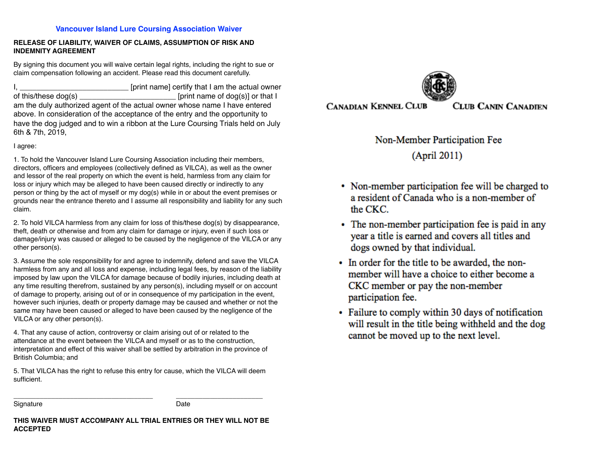#### **Vancouver Island Lure Coursing Association Waiver**

### **RELEASE OF LIABILITY, WAIVER OF CLAIMS, ASSUMPTION OF RISK AND INDEMNITY AGREEMENT**

By signing this document you will waive certain legal rights, including the right to sue or claim compensation following an accident. Please read this document carefully.

I, \_\_\_\_\_\_\_\_\_\_\_\_\_\_\_\_\_\_\_\_\_\_\_\_\_\_ [print name] certify that I am the actual owner of this/these dog(s) example in the set of the set of dog(s)] or that I am the duly authorized agent of the actual owner whose name I have entered above. In consideration of the acceptance of the entry and the opportunity to have the dog judged and to win a ribbon at the Lure Coursing Trials held on July 6th & 7th, 2019,

I agree:

1. To hold the Vancouver Island Lure Coursing Association including their members, directors, officers and employees (collectively defined as VILCA), as well as the owner and lessor of the real property on which the event is held, harmless from any claim for loss or injury which may be alleged to have been caused directly or indirectly to any person or thing by the act of myself or my dog(s) while in or about the event premises or grounds near the entrance thereto and I assume all responsibility and liability for any such claim.

2. To hold VILCA harmless from any claim for loss of this/these dog(s) by disappearance, theft, death or otherwise and from any claim for damage or injury, even if such loss or damage/injury was caused or alleged to be caused by the negligence of the VILCA or any other person(s).

3. Assume the sole responsibility for and agree to indemnify, defend and save the VILCA harmless from any and all loss and expense, including legal fees, by reason of the liability imposed by law upon the VILCA for damage because of bodily injuries, including death at any time resulting therefrom, sustained by any person(s), including myself or on account of damage to property, arising out of or in consequence of my participation in the event, however such injuries, death or property damage may be caused and whether or not the same may have been caused or alleged to have been caused by the negligence of the VILCA or any other person(s).

4. That any cause of action, controversy or claim arising out of or related to the attendance at the event between the VILCA and myself or as to the construction, interpretation and effect of this waiver shall be settled by arbitration in the province of British Columbia; and

5. That VILCA has the right to refuse this entry for cause, which the VILCA will deem sufficient.

 $\frac{1}{2}$  , and the set of the set of the set of the set of the set of the set of the set of the set of the set of the set of the set of the set of the set of the set of the set of the set of the set of the set of the set

Signature Date

**THIS WAIVER MUST ACCOMPANY ALL TRIAL ENTRIES OR THEY WILL NOT BE ACCEPTED**



**CANADIAN KENNEL CLUB** 

**CLUB CANIN CANADIEN** 

Non-Member Participation Fee

(April 2011)

- Non-member participation fee will be charged to a resident of Canada who is a non-member of the CKC.
- The non-member participation fee is paid in any year a title is earned and covers all titles and dogs owned by that individual.
- In order for the title to be awarded, the nonmember will have a choice to either become a CKC member or pay the non-member participation fee.
- Failure to comply within 30 days of notification will result in the title being withheld and the dog cannot be moved up to the next level.